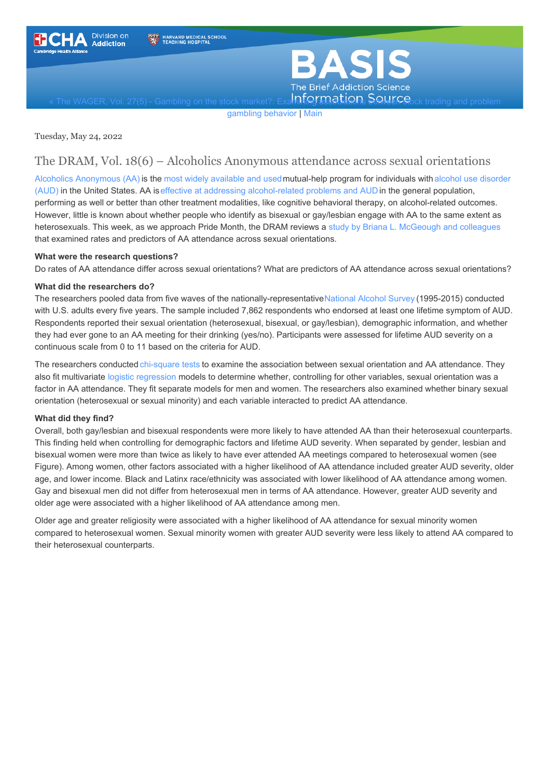<span id="page-0-0"></span>



The WAGER, Vol. 27(5) - Gambling on the stock market?: Exa**mining and studing Solutions** and problem

gambling behavior | [Main](https://www.basisonline.org/)

Tuesday, May 24, 2022

## The DRAM, Vol. 18(6) – Alcoholics Anonymous attendance across sexual orientations

Alcoholics [Anonymous](https://www.aa.org/) (AA) is the most widely [available](https://www.ncbi.nlm.nih.gov/pmc/articles/PMC3860535/) and [usedmutual-help](https://www.niaaa.nih.gov/publications/brochures-and-fact-sheets/understanding-alcohol-use-disorder) program for individuals with alcohol use disorder (AUD) in the United States. AA iseffective at addressing [alcohol-related](https://www.cochranelibrary.com/cdsr/doi/10.1002/14651858.CD012880.pub2/full?highlightAbstract=alcohol%7Canonym%7Canonymous%7Calcoholics) problems and AUD in the general population, performing as well or better than other treatment modalities, like cognitive behavioral therapy, on alcohol-related outcomes. However, little is known about whether people who identify as bisexual or gay/lesbian engage with AA to the same extent as heterosexuals. This week, as we approach Pride Month, the DRAM reviews a study by Briana L. [McGeough](https://pubmed.ncbi.nlm.nih.gov/34080558/) and colleagues that examined rates and predictors of AA attendance across sexual orientations.

## **What were the research questions?**

Do rates of AA attendance differ across sexual orientations? What are predictors of AA attendance across sexual orientations?

### **What did the researchers do?**

The researchers pooled data from five waves of the nationally-representative[National](https://arg.org/center/national-alcohol-surveys/) Alcohol Survey (1995-2015) conducted with U.S. adults every five years. The sample included 7,862 respondents who endorsed at least one lifetime symptom of AUD. Respondents reported their sexual orientation (heterosexual, bisexual, or gay/lesbian), demographic information, and whether they had ever gone to an AA meeting for their drinking (yes/no). Participants were assessed for lifetime AUD severity on a continuous scale from 0 to 11 based on the criteria for AUD.

The researchers conducted [chi-square](https://www.basisonline.org/basis_glossary.html#chi-square_test) tests to examine the association between sexual orientation and AA attendance. They also fit multivariate logistic [regression](https://www.basisonline.org/basis_glossary.html#LogisticRegression) models to determine whether, controlling for other variables, sexual orientation was a factor in AA attendance. They fit separate models for men and women. The researchers also examined whether binary sexual orientation (heterosexual or sexual minority) and each variable interacted to predict AA attendance.

## **What did they find?**

Overall, both gay/lesbian and bisexual respondents were more likely to have attended AA than their heterosexual counterparts. This finding held when controlling for demographic factors and lifetime AUD severity. When separated by gender, lesbian and bisexual women were more than twice as likely to have ever attended AA meetings compared to heterosexual women (see Figure). Among women, other factors associated with a higher likelihood of AA attendance included greater AUD severity, older age, and lower income. Black and Latinx race/ethnicity was associated with lower likelihood of AA attendance among women. Gay and bisexual men did not differ from heterosexual men in terms of AA attendance. However, greater AUD severity and older age were associated with a higher likelihood of AA attendance among men.

Older age and greater religiosity were associated with a higher likelihood of AA attendance for sexual minority women compared to heterosexual women. Sexual minority women with greater AUD severity were less likely to attend AA compared to their heterosexual counterparts.